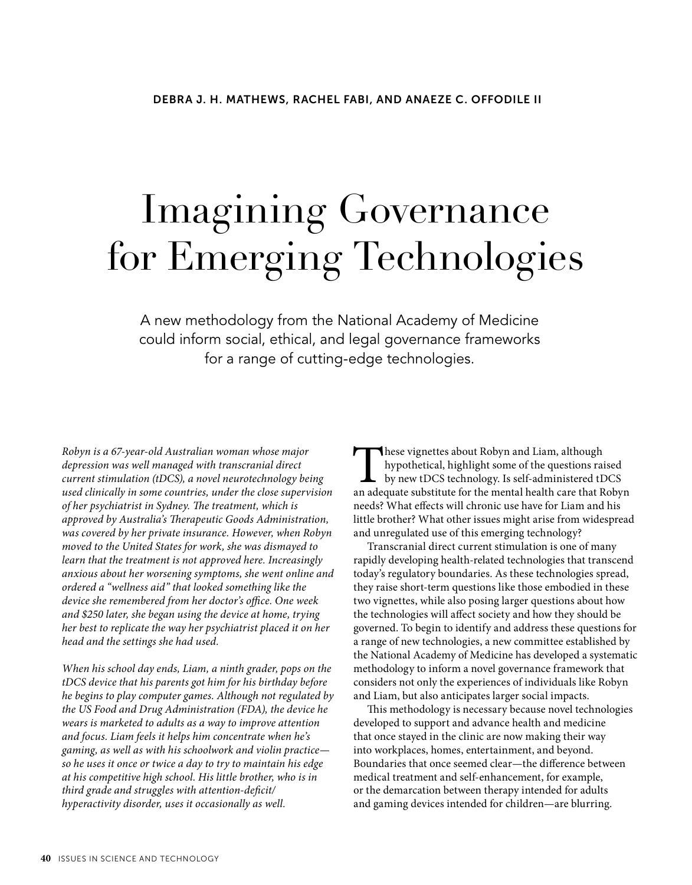# Imagining Governance for Emerging Technologies

A new methodology from the National Academy of Medicine could inform social, ethical, and legal governance frameworks for a range of cutting-edge technologies.

*Robyn is a 67-year-old Australian woman whose major depression was well managed with transcranial direct current stimulation (tDCS), a novel neurotechnology being used clinically in some countries, under the close supervision of her psychiatrist in Sydney. The treatment, which is approved by Australia's Therapeutic Goods Administration, was covered by her private insurance. However, when Robyn moved to the United States for work, she was dismayed to learn that the treatment is not approved here. Increasingly anxious about her worsening symptoms, she went online and ordered a "wellness aid" that looked something like the device she remembered from her doctor's office. One week and \$250 later, she began using the device at home, trying her best to replicate the way her psychiatrist placed it on her head and the settings she had used.* 

*When his school day ends, Liam, a ninth grader, pops on the tDCS device that his parents got him for his birthday before he begins to play computer games. Although not regulated by the US Food and Drug Administration (FDA), the device he wears is marketed to adults as a way to improve attention and focus. Liam feels it helps him concentrate when he's gaming, as well as with his schoolwork and violin practice so he uses it once or twice a day to try to maintain his edge at his competitive high school. His little brother, who is in third grade and struggles with attention-deficit/ hyperactivity disorder, uses it occasionally as well.*

These vignettes about Robyn and Liam, although<br>hypothetical, highlight some of the questions rai<br>by new tDCS technology. Is self-administered tD<br>an adequate substitute for the mental health care that R hypothetical, highlight some of the questions raised by new tDCS technology. Is self-administered tDCS an adequate substitute for the mental health care that Robyn needs? What effects will chronic use have for Liam and his little brother? What other issues might arise from widespread and unregulated use of this emerging technology?

Transcranial direct current stimulation is one of many rapidly developing health-related technologies that transcend today's regulatory boundaries. As these technologies spread, they raise short-term questions like those embodied in these two vignettes, while also posing larger questions about how the technologies will affect society and how they should be governed. To begin to identify and address these questions for a range of new technologies, a new committee established by the National Academy of Medicine has developed a systematic methodology to inform a novel governance framework that considers not only the experiences of individuals like Robyn and Liam, but also anticipates larger social impacts.

This methodology is necessary because novel technologies developed to support and advance health and medicine that once stayed in the clinic are now making their way into workplaces, homes, entertainment, and beyond. Boundaries that once seemed clear—the difference between medical treatment and self-enhancement, for example, or the demarcation between therapy intended for adults and gaming devices intended for children—are blurring.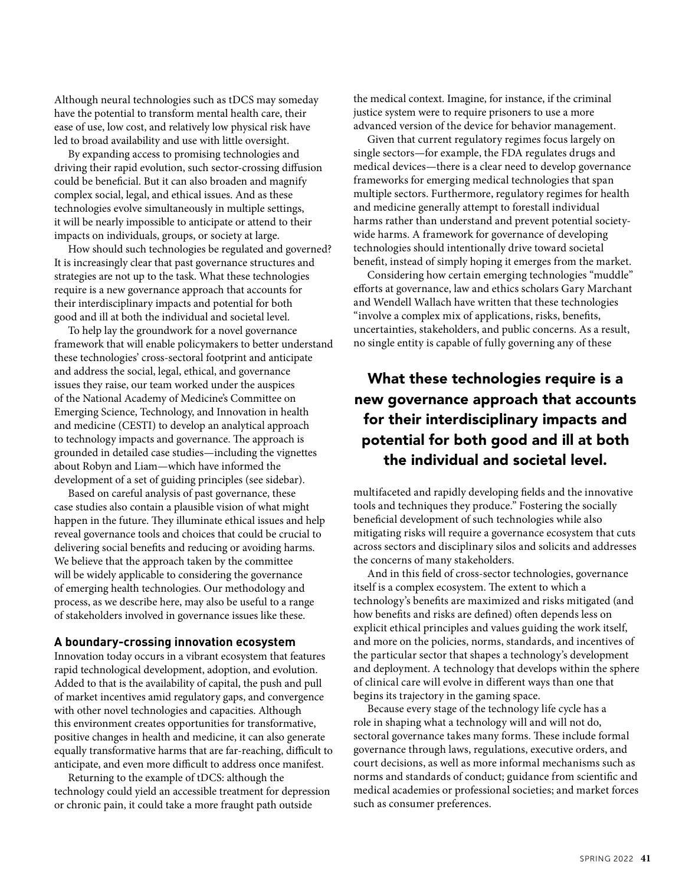Although neural technologies such as tDCS may someday have the potential to transform mental health care, their ease of use, low cost, and relatively low physical risk have led to broad availability and use with little oversight.

By expanding access to promising technologies and driving their rapid evolution, such sector-crossing diffusion could be beneficial. But it can also broaden and magnify complex social, legal, and ethical issues. And as these technologies evolve simultaneously in multiple settings, it will be nearly impossible to anticipate or attend to their impacts on individuals, groups, or society at large.

How should such technologies be regulated and governed? It is increasingly clear that past governance structures and strategies are not up to the task. What these technologies require is a new governance approach that accounts for their interdisciplinary impacts and potential for both good and ill at both the individual and societal level.

To help lay the groundwork for a novel governance framework that will enable policymakers to better understand these technologies' cross-sectoral footprint and anticipate and address the social, legal, ethical, and governance issues they raise, our team worked under the auspices of the National Academy of Medicine's Committee on Emerging Science, Technology, and Innovation in health and medicine (CESTI) to develop an analytical approach to technology impacts and governance. The approach is grounded in detailed case studies—including the vignettes about Robyn and Liam—which have informed the development of a set of guiding principles (see sidebar).

Based on careful analysis of past governance, these case studies also contain a plausible vision of what might happen in the future. They illuminate ethical issues and help reveal governance tools and choices that could be crucial to delivering social benefits and reducing or avoiding harms. We believe that the approach taken by the committee will be widely applicable to considering the governance of emerging health technologies. Our methodology and process, as we describe here, may also be useful to a range of stakeholders involved in governance issues like these.

#### **A boundary-crossing innovation ecosystem**

Innovation today occurs in a vibrant ecosystem that features rapid technological development, adoption, and evolution. Added to that is the availability of capital, the push and pull of market incentives amid regulatory gaps, and convergence with other novel technologies and capacities. Although this environment creates opportunities for transformative, positive changes in health and medicine, it can also generate equally transformative harms that are far-reaching, difficult to anticipate, and even more difficult to address once manifest.

Returning to the example of tDCS: although the technology could yield an accessible treatment for depression or chronic pain, it could take a more fraught path outside

the medical context. Imagine, for instance, if the criminal justice system were to require prisoners to use a more advanced version of the device for behavior management.

Given that current regulatory regimes focus largely on single sectors—for example, the FDA regulates drugs and medical devices—there is a clear need to develop governance frameworks for emerging medical technologies that span multiple sectors. Furthermore, regulatory regimes for health and medicine generally attempt to forestall individual harms rather than understand and prevent potential societywide harms. A framework for governance of developing technologies should intentionally drive toward societal benefit, instead of simply hoping it emerges from the market.

Considering how certain emerging technologies "muddle" efforts at governance, law and ethics scholars Gary Marchant and Wendell Wallach have written that these technologies "involve a complex mix of applications, risks, benefits, uncertainties, stakeholders, and public concerns. As a result, no single entity is capable of fully governing any of these

## What these technologies require is a new governance approach that accounts for their interdisciplinary impacts and potential for both good and ill at both the individual and societal level.

multifaceted and rapidly developing fields and the innovative tools and techniques they produce." Fostering the socially beneficial development of such technologies while also mitigating risks will require a governance ecosystem that cuts across sectors and disciplinary silos and solicits and addresses the concerns of many stakeholders.

And in this field of cross-sector technologies, governance itself is a complex ecosystem. The extent to which a technology's benefits are maximized and risks mitigated (and how benefits and risks are defined) often depends less on explicit ethical principles and values guiding the work itself, and more on the policies, norms, standards, and incentives of the particular sector that shapes a technology's development and deployment. A technology that develops within the sphere of clinical care will evolve in different ways than one that begins its trajectory in the gaming space.

Because every stage of the technology life cycle has a role in shaping what a technology will and will not do, sectoral governance takes many forms. These include formal governance through laws, regulations, executive orders, and court decisions, as well as more informal mechanisms such as norms and standards of conduct; guidance from scientific and medical academies or professional societies; and market forces such as consumer preferences.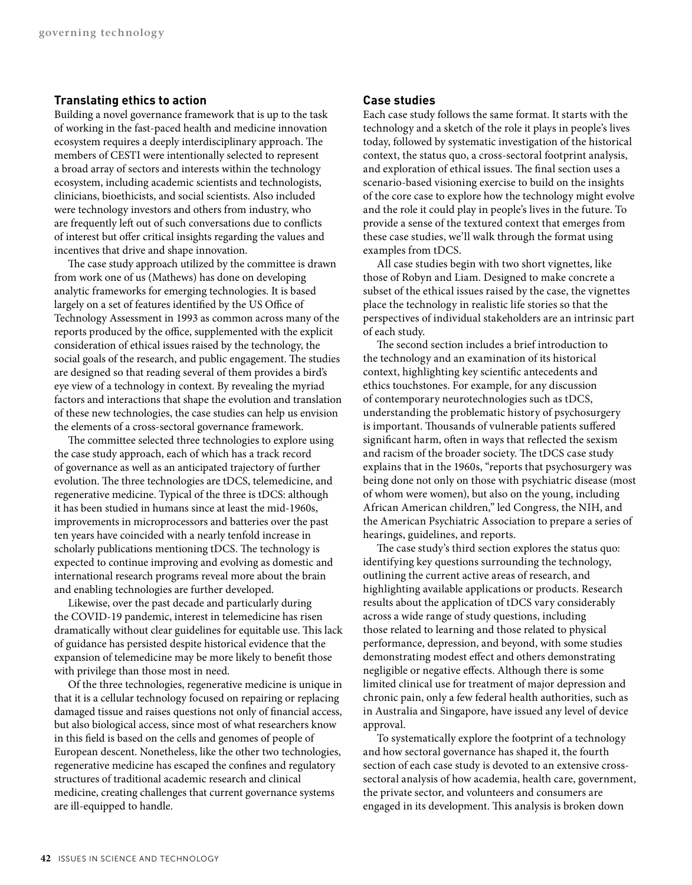#### **Translating ethics to action**

Building a novel governance framework that is up to the task of working in the fast-paced health and medicine innovation ecosystem requires a deeply interdisciplinary approach. The members of CESTI were intentionally selected to represent a broad array of sectors and interests within the technology ecosystem, including academic scientists and technologists, clinicians, bioethicists, and social scientists. Also included were technology investors and others from industry, who are frequently left out of such conversations due to conflicts of interest but offer critical insights regarding the values and incentives that drive and shape innovation.

The case study approach utilized by the committee is drawn from work one of us (Mathews) has done on developing analytic frameworks for emerging technologies. It is based largely on a set of features identified by the US Office of Technology Assessment in 1993 as common across many of the reports produced by the office, supplemented with the explicit consideration of ethical issues raised by the technology, the social goals of the research, and public engagement. The studies are designed so that reading several of them provides a bird's eye view of a technology in context. By revealing the myriad factors and interactions that shape the evolution and translation of these new technologies, the case studies can help us envision the elements of a cross-sectoral governance framework.

The committee selected three technologies to explore using the case study approach, each of which has a track record of governance as well as an anticipated trajectory of further evolution. The three technologies are tDCS, telemedicine, and regenerative medicine. Typical of the three is tDCS: although it has been studied in humans since at least the mid-1960s, improvements in microprocessors and batteries over the past ten years have coincided with a nearly tenfold increase in scholarly publications mentioning tDCS. The technology is expected to continue improving and evolving as domestic and international research programs reveal more about the brain and enabling technologies are further developed.

Likewise, over the past decade and particularly during the COVID-19 pandemic, interest in telemedicine has risen dramatically without clear guidelines for equitable use. This lack of guidance has persisted despite historical evidence that the expansion of telemedicine may be more likely to benefit those with privilege than those most in need.

Of the three technologies, regenerative medicine is unique in that it is a cellular technology focused on repairing or replacing damaged tissue and raises questions not only of financial access, but also biological access, since most of what researchers know in this field is based on the cells and genomes of people of European descent. Nonetheless, like the other two technologies, regenerative medicine has escaped the confines and regulatory structures of traditional academic research and clinical medicine, creating challenges that current governance systems are ill-equipped to handle.

#### **Case studies**

Each case study follows the same format. It starts with the technology and a sketch of the role it plays in people's lives today, followed by systematic investigation of the historical context, the status quo, a cross-sectoral footprint analysis, and exploration of ethical issues. The final section uses a scenario-based visioning exercise to build on the insights of the core case to explore how the technology might evolve and the role it could play in people's lives in the future. To provide a sense of the textured context that emerges from these case studies, we'll walk through the format using examples from tDCS.

All case studies begin with two short vignettes, like those of Robyn and Liam. Designed to make concrete a subset of the ethical issues raised by the case, the vignettes place the technology in realistic life stories so that the perspectives of individual stakeholders are an intrinsic part of each study.

The second section includes a brief introduction to the technology and an examination of its historical context, highlighting key scientific antecedents and ethics touchstones. For example, for any discussion of contemporary neurotechnologies such as tDCS, understanding the problematic history of psychosurgery is important. Thousands of vulnerable patients suffered significant harm, often in ways that reflected the sexism and racism of the broader society. The tDCS case study explains that in the 1960s, "reports that psychosurgery was being done not only on those with psychiatric disease (most of whom were women), but also on the young, including African American children," led Congress, the NIH, and the American Psychiatric Association to prepare a series of hearings, guidelines, and reports.

The case study's third section explores the status quo: identifying key questions surrounding the technology, outlining the current active areas of research, and highlighting available applications or products. Research results about the application of tDCS vary considerably across a wide range of study questions, including those related to learning and those related to physical performance, depression, and beyond, with some studies demonstrating modest effect and others demonstrating negligible or negative effects. Although there is some limited clinical use for treatment of major depression and chronic pain, only a few federal health authorities, such as in Australia and Singapore, have issued any level of device approval.

To systematically explore the footprint of a technology and how sectoral governance has shaped it, the fourth section of each case study is devoted to an extensive crosssectoral analysis of how academia, health care, government, the private sector, and volunteers and consumers are engaged in its development. This analysis is broken down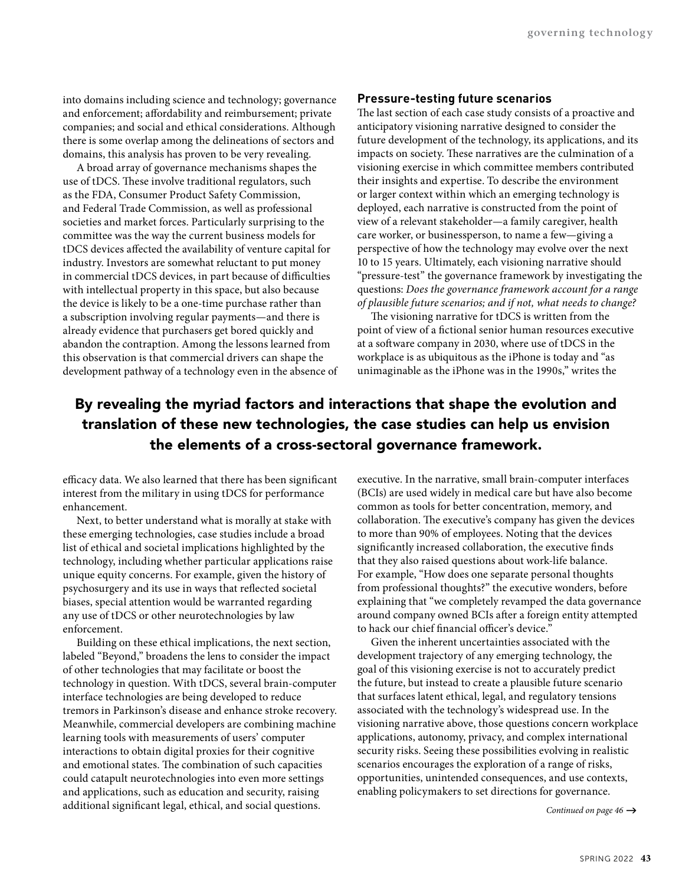into domains including science and technology; governance and enforcement; affordability and reimbursement; private companies; and social and ethical considerations. Although there is some overlap among the delineations of sectors and domains, this analysis has proven to be very revealing.

A broad array of governance mechanisms shapes the use of tDCS. These involve traditional regulators, such as the FDA, Consumer Product Safety Commission, and Federal Trade Commission, as well as professional societies and market forces. Particularly surprising to the committee was the way the current business models for tDCS devices affected the availability of venture capital for industry. Investors are somewhat reluctant to put money in commercial tDCS devices, in part because of difficulties with intellectual property in this space, but also because the device is likely to be a one-time purchase rather than a subscription involving regular payments—and there is already evidence that purchasers get bored quickly and abandon the contraption. Among the lessons learned from this observation is that commercial drivers can shape the development pathway of a technology even in the absence of

#### **Pressure-testing future scenarios**

The last section of each case study consists of a proactive and anticipatory visioning narrative designed to consider the future development of the technology, its applications, and its impacts on society. These narratives are the culmination of a visioning exercise in which committee members contributed their insights and expertise. To describe the environment or larger context within which an emerging technology is deployed, each narrative is constructed from the point of view of a relevant stakeholder—a family caregiver, health care worker, or businessperson, to name a few—giving a perspective of how the technology may evolve over the next 10 to 15 years. Ultimately, each visioning narrative should "pressure-test" the governance framework by investigating the questions: *Does the governance framework account for a range of plausible future scenarios; and if not, what needs to change?*

The visioning narrative for tDCS is written from the point of view of a fictional senior human resources executive at a software company in 2030, where use of tDCS in the workplace is as ubiquitous as the iPhone is today and "as unimaginable as the iPhone was in the 1990s," writes the

### By revealing the myriad factors and interactions that shape the evolution and translation of these new technologies, the case studies can help us envision the elements of a cross-sectoral governance framework.

efficacy data. We also learned that there has been significant interest from the military in using tDCS for performance enhancement.

Next, to better understand what is morally at stake with these emerging technologies, case studies include a broad list of ethical and societal implications highlighted by the technology, including whether particular applications raise unique equity concerns. For example, given the history of psychosurgery and its use in ways that reflected societal biases, special attention would be warranted regarding any use of tDCS or other neurotechnologies by law enforcement.

Building on these ethical implications, the next section, labeled "Beyond," broadens the lens to consider the impact of other technologies that may facilitate or boost the technology in question. With tDCS, several brain-computer interface technologies are being developed to reduce tremors in Parkinson's disease and enhance stroke recovery. Meanwhile, commercial developers are combining machine learning tools with measurements of users' computer interactions to obtain digital proxies for their cognitive and emotional states. The combination of such capacities could catapult neurotechnologies into even more settings and applications, such as education and security, raising additional significant legal, ethical, and social questions.

executive. In the narrative, small brain-computer interfaces (BCIs) are used widely in medical care but have also become common as tools for better concentration, memory, and collaboration. The executive's company has given the devices to more than 90% of employees. Noting that the devices significantly increased collaboration, the executive finds that they also raised questions about work-life balance. For example, "How does one separate personal thoughts from professional thoughts?" the executive wonders, before explaining that "we completely revamped the data governance around company owned BCIs after a foreign entity attempted to hack our chief financial officer's device."

Given the inherent uncertainties associated with the development trajectory of any emerging technology, the goal of this visioning exercise is not to accurately predict the future, but instead to create a plausible future scenario that surfaces latent ethical, legal, and regulatory tensions associated with the technology's widespread use. In the visioning narrative above, those questions concern workplace applications, autonomy, privacy, and complex international security risks. Seeing these possibilities evolving in realistic scenarios encourages the exploration of a range of risks, opportunities, unintended consequences, and use contexts, enabling policymakers to set directions for governance.

Continued on page 46  $\rightarrow$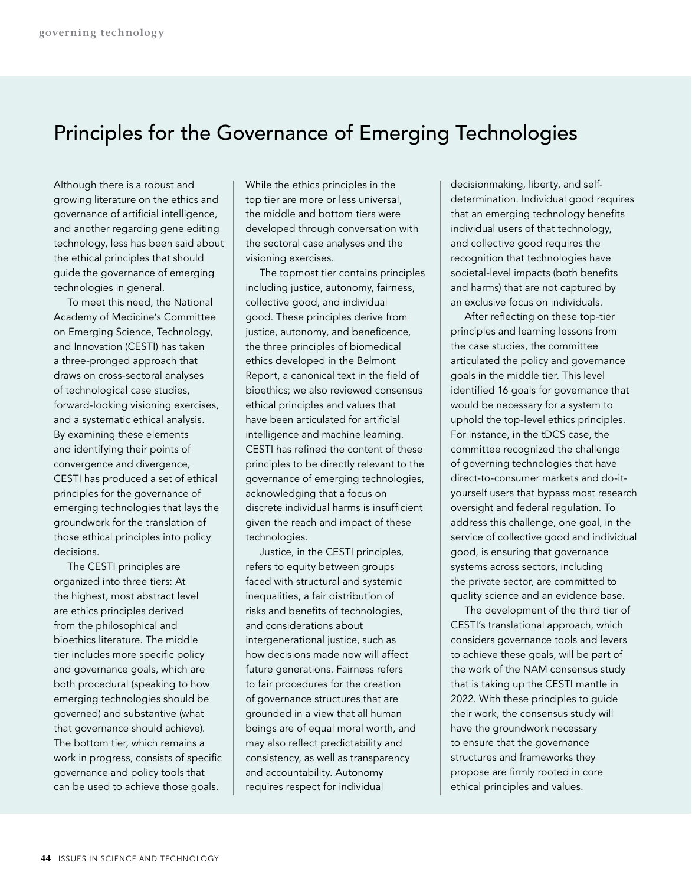## Principles for the Governance of Emerging Technologies

Although there is a robust and growing literature on the ethics and governance of artificial intelligence, and another regarding gene editing technology, less has been said about the ethical principles that should guide the governance of emerging technologies in general.

To meet this need, the National Academy of Medicine's Committee on Emerging Science, Technology, and Innovation (CESTI) has taken a three-pronged approach that draws on cross-sectoral analyses of technological case studies, forward-looking visioning exercises, and a systematic ethical analysis. By examining these elements and identifying their points of convergence and divergence, CESTI has produced a set of ethical principles for the governance of emerging technologies that lays the groundwork for the translation of those ethical principles into policy decisions.

The CESTI principles are organized into three tiers: At the highest, most abstract level are ethics principles derived from the philosophical and bioethics literature. The middle tier includes more specific policy and governance goals, which are both procedural (speaking to how emerging technologies should be governed) and substantive (what that governance should achieve). The bottom tier, which remains a work in progress, consists of specific governance and policy tools that can be used to achieve those goals.

While the ethics principles in the top tier are more or less universal, the middle and bottom tiers were developed through conversation with the sectoral case analyses and the visioning exercises.

The topmost tier contains principles including justice, autonomy, fairness, collective good, and individual good. These principles derive from justice, autonomy, and beneficence, the three principles of biomedical ethics developed in the Belmont Report, a canonical text in the field of bioethics; we also reviewed consensus ethical principles and values that have been articulated for artificial intelligence and machine learning. CESTI has refined the content of these principles to be directly relevant to the governance of emerging technologies, acknowledging that a focus on discrete individual harms is insufficient given the reach and impact of these technologies.

Justice, in the CESTI principles, refers to equity between groups faced with structural and systemic inequalities, a fair distribution of risks and benefits of technologies, and considerations about intergenerational justice, such as how decisions made now will affect future generations. Fairness refers to fair procedures for the creation of governance structures that are grounded in a view that all human beings are of equal moral worth, and may also reflect predictability and consistency, as well as transparency and accountability. Autonomy requires respect for individual

decisionmaking, liberty, and selfdetermination. Individual good requires that an emerging technology benefits individual users of that technology, and collective good requires the recognition that technologies have societal-level impacts (both benefits and harms) that are not captured by an exclusive focus on individuals.

After reflecting on these top-tier principles and learning lessons from the case studies, the committee articulated the policy and governance goals in the middle tier. This level identified 16 goals for governance that would be necessary for a system to uphold the top-level ethics principles. For instance, in the tDCS case, the committee recognized the challenge of governing technologies that have direct-to-consumer markets and do-ityourself users that bypass most research oversight and federal regulation. To address this challenge, one goal, in the service of collective good and individual good, is ensuring that governance systems across sectors, including the private sector, are committed to quality science and an evidence base.

The development of the third tier of CESTI's translational approach, which considers governance tools and levers to achieve these goals, will be part of the work of the NAM consensus study that is taking up the CESTI mantle in 2022. With these principles to guide their work, the consensus study will have the groundwork necessary to ensure that the governance structures and frameworks they propose are firmly rooted in core ethical principles and values.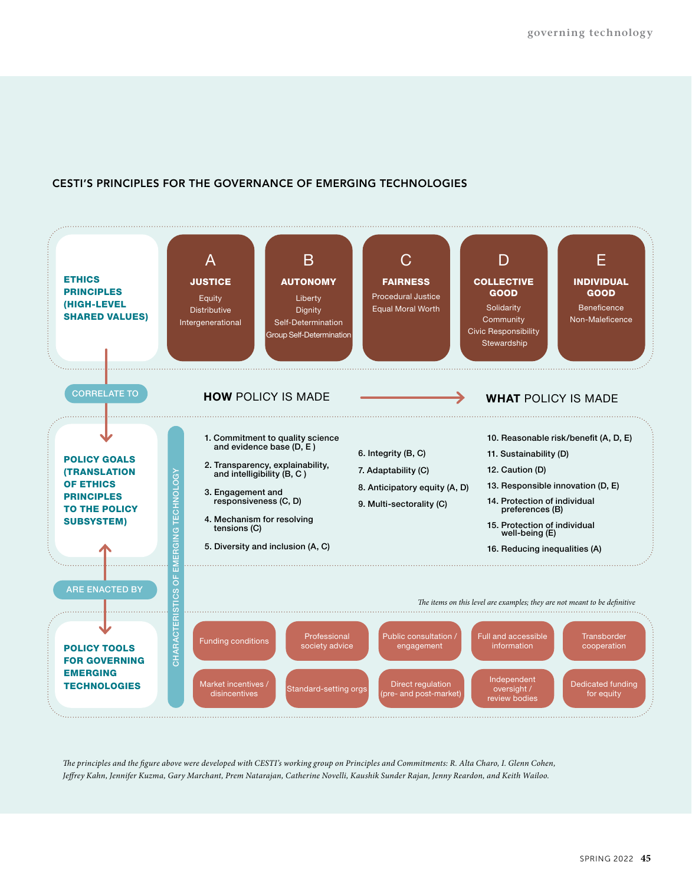#### **CESTI'S PRINCIPLES FOR THE GOVERNANCE OF EMERGING TECHNOLOGIES**



*The principles and the figure above were developed with CESTI's working group on Principles and Commitments: R. Alta Charo, I. Glenn Cohen, Jeffrey Kahn, Jennifer Kuzma, Gary Marchant, Prem Natarajan, Catherine Novelli, Kaushik Sunder Rajan, Jenny Reardon, and Keith Wailoo.*